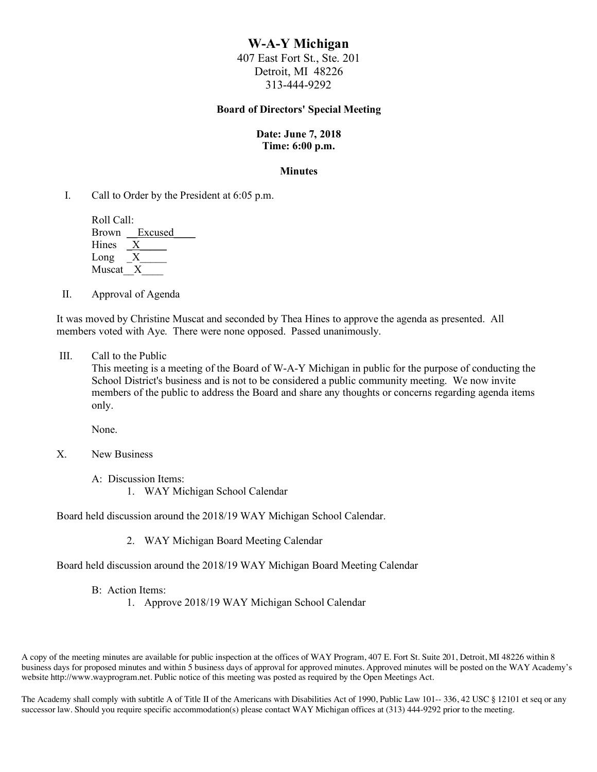# **W-A-Y Michigan**

407 East Fort St., Ste. 201 Detroit, MI 48226 313-444-9292

#### **Board of Directors' Special Meeting**

### **Date: June 7, 2018 Time: 6:00 p.m.**

#### **Minutes**

I. Call to Order by the President at 6:05 p.m.

| Roll Call:   |               |
|--------------|---------------|
|              | Brown Excused |
| <b>Hines</b> |               |
| Long         |               |
| Muscat       |               |

II. Approval of Agenda

It was moved by Christine Muscat and seconded by Thea Hines to approve the agenda as presented. All members voted with Aye. There were none opposed. Passed unanimously.

III. Call to the Public

This meeting is a meeting of the Board of W-A-Y Michigan in public for the purpose of conducting the School District's business and is not to be considered a public community meeting. We now invite members of the public to address the Board and share any thoughts or concerns regarding agenda items only.

None.

- X. New Business
	- A: Discussion Items:
		- 1. WAY Michigan School Calendar

Board held discussion around the 2018/19 WAY Michigan School Calendar.

2. WAY Michigan Board Meeting Calendar

Board held discussion around the 2018/19 WAY Michigan Board Meeting Calendar

- B: Action Items:
	- 1. Approve 2018/19 WAY Michigan School Calendar

A copy of the meeting minutes are available for public inspection at the offices of WAY Program, 407 E. Fort St. Suite 201, Detroit, MI 48226 within 8 business days for proposed minutes and within 5 business days of approval for approved minutes. Approved minutes will be posted on the WAY Academy's website http://www.wayprogram.net. Public notice of this meeting was posted as required by the Open Meetings Act.

The Academy shall comply with subtitle A of Title II of the Americans with Disabilities Act of 1990, Public Law 101-- 336, 42 USC § 12101 et seq or any successor law. Should you require specific accommodation(s) please contact WAY Michigan offices at (313) 444-9292 prior to the meeting.